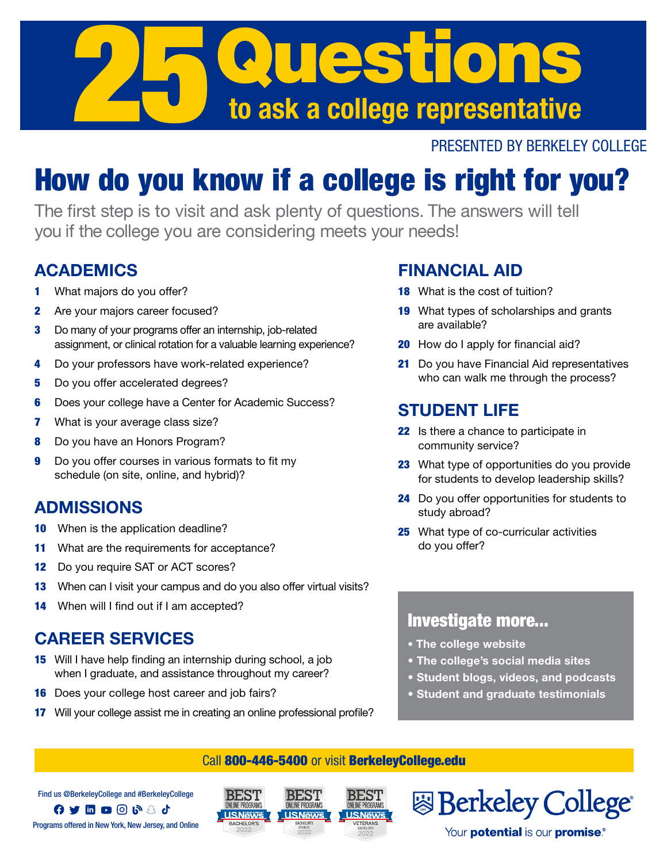

#### PRESENTED BY BERKELEY COLLEGE

# How do you know if a college is right for you?

The first step is to visit and ask plenty of questions. The answers will tell you if the college you are considering meets your needs!

### ACADEMICS

- 1 What majors do you offer?
- 2 Are your majors career focused?
- 3 Do many of your programs offer an internship, job-related assignment, or clinical rotation for a valuable learning experience?
- 4 Do your professors have work-related experience?
- 5 Do you offer accelerated degrees?
- **6** Does your college have a Center for Academic Success?
- **7** What is your average class size?
- 8 Do you have an Honors Program?
- 9 Do you offer courses in various formats to fit my schedule (on site, online, and hybrid)?

## ADMISSIONS

- **10** When is the application deadline?
- 11 What are the requirements for acceptance?
- 12 Do you require SAT or ACT scores?
- 13 When can I visit your campus and do you also offer virtual visits?
- 14 When will I find out if I am accepted?

#### CAREER SERVICES

- 15 Will I have help finding an internship during school, a job when I graduate, and assistance throughout my career?
- **16** Does your college host career and job fairs?
- 17 Will your college assist me in creating an online professional profile?

### FINANCIAL AID

- 18 What is the cost of tuition?
- 19 What types of scholarships and grants are available?
- 20 How do I apply for financial aid?
- 21 Do you have Financial Aid representatives who can walk me through the process?

# STUDENT LIFE

- 22 Is there a chance to participate in community service?
- 23 What type of opportunities do you provide for students to develop leadership skills?
- 24 Do you offer opportunities for students to study abroad?
- 25 What type of co-curricular activities do you offer?

#### Investigate more...

- The college website
- The college's social media sites
- Student blogs, videos, and podcasts
- Student and graduate testimonials

**图 Berkeley College** 

Your **potential** is our **promise**®

#### Call 800-446-5400 or visit BerkeleyCollege.edu